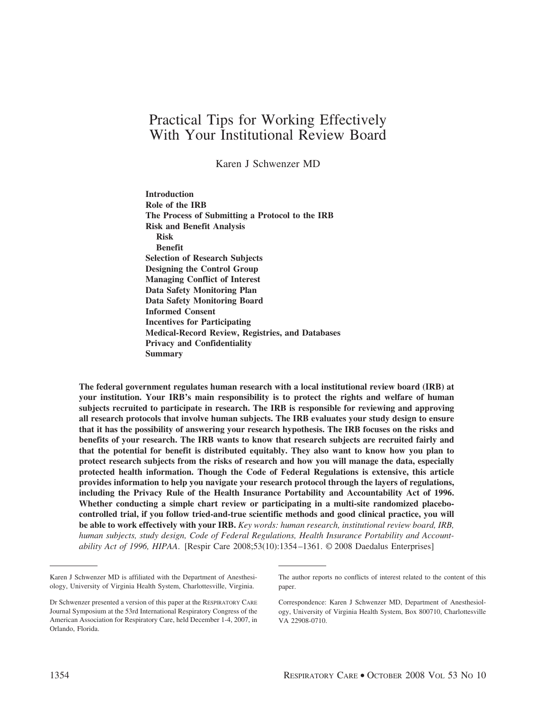# Practical Tips for Working Effectively With Your Institutional Review Board

Karen J Schwenzer MD

**Introduction Role of the IRB The Process of Submitting a Protocol to the IRB Risk and Benefit Analysis Risk Benefit Selection of Research Subjects Designing the Control Group Managing Conflict of Interest Data Safety Monitoring Plan Data Safety Monitoring Board Informed Consent Incentives for Participating Medical-Record Review, Registries, and Databases Privacy and Confidentiality Summary**

**The federal government regulates human research with a local institutional review board (IRB) at your institution. Your IRB's main responsibility is to protect the rights and welfare of human subjects recruited to participate in research. The IRB is responsible for reviewing and approving all research protocols that involve human subjects. The IRB evaluates your study design to ensure that it has the possibility of answering your research hypothesis. The IRB focuses on the risks and benefits of your research. The IRB wants to know that research subjects are recruited fairly and that the potential for benefit is distributed equitably. They also want to know how you plan to protect research subjects from the risks of research and how you will manage the data, especially protected health information. Though the Code of Federal Regulations is extensive, this article provides information to help you navigate your research protocol through the layers of regulations, including the Privacy Rule of the Health Insurance Portability and Accountability Act of 1996. Whether conducting a simple chart review or participating in a multi-site randomized placebocontrolled trial, if you follow tried-and-true scientific methods and good clinical practice, you will be able to work effectively with your IRB.** *Key words: human research, institutional review board, IRB, human subjects, study design, Code of Federal Regulations, Health Insurance Portability and Accountability Act of 1996, HIPAA*. [Respir Care 2008;53(10):1354 –1361. © 2008 Daedalus Enterprises]

Karen J Schwenzer MD is affiliated with the Department of Anesthesiology, University of Virginia Health System, Charlottesville, Virginia.

Dr Schwenzer presented a version of this paper at the RESPIRATORY CARE Journal Symposium at the 53rd International Respiratory Congress of the American Association for Respiratory Care, held December 1-4, 2007, in Orlando, Florida.

The author reports no conflicts of interest related to the content of this paper.

Correspondence: Karen J Schwenzer MD, Department of Anesthesiology, University of Virginia Health System, Box 800710, Charlottesville VA 22908-0710.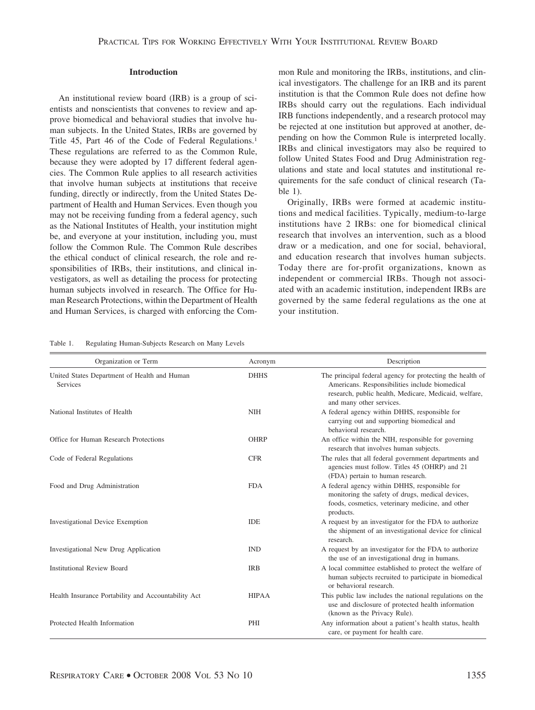# **Introduction**

An institutional review board (IRB) is a group of scientists and nonscientists that convenes to review and approve biomedical and behavioral studies that involve human subjects. In the United States, IRBs are governed by Title 45, Part 46 of the Code of Federal Regulations.<sup>1</sup> These regulations are referred to as the Common Rule, because they were adopted by 17 different federal agencies. The Common Rule applies to all research activities that involve human subjects at institutions that receive funding, directly or indirectly, from the United States Department of Health and Human Services. Even though you may not be receiving funding from a federal agency, such as the National Institutes of Health, your institution might be, and everyone at your institution, including you, must follow the Common Rule. The Common Rule describes the ethical conduct of clinical research, the role and responsibilities of IRBs, their institutions, and clinical investigators, as well as detailing the process for protecting human subjects involved in research. The Office for Human Research Protections, within the Department of Health and Human Services, is charged with enforcing the Common Rule and monitoring the IRBs, institutions, and clinical investigators. The challenge for an IRB and its parent institution is that the Common Rule does not define how IRBs should carry out the regulations. Each individual IRB functions independently, and a research protocol may be rejected at one institution but approved at another, depending on how the Common Rule is interpreted locally. IRBs and clinical investigators may also be required to follow United States Food and Drug Administration regulations and state and local statutes and institutional requirements for the safe conduct of clinical research (Table 1).

Originally, IRBs were formed at academic institutions and medical facilities. Typically, medium-to-large institutions have 2 IRBs: one for biomedical clinical research that involves an intervention, such as a blood draw or a medication, and one for social, behavioral, and education research that involves human subjects. Today there are for-profit organizations, known as independent or commercial IRBs. Though not associated with an academic institution, independent IRBs are governed by the same federal regulations as the one at your institution.

#### Table 1. Regulating Human-Subjects Research on Many Levels

| Organization or Term                                     | Acronym      | Description                                                                                                                                                                                      |
|----------------------------------------------------------|--------------|--------------------------------------------------------------------------------------------------------------------------------------------------------------------------------------------------|
| United States Department of Health and Human<br>Services | <b>DHHS</b>  | The principal federal agency for protecting the health of<br>Americans. Responsibilities include biomedical<br>research, public health, Medicare, Medicaid, welfare,<br>and many other services. |
| National Institutes of Health                            | <b>NIH</b>   | A federal agency within DHHS, responsible for<br>carrying out and supporting biomedical and<br>behavioral research.                                                                              |
| Office for Human Research Protections                    | <b>OHRP</b>  | An office within the NIH, responsible for governing<br>research that involves human subjects.                                                                                                    |
| Code of Federal Regulations                              | <b>CFR</b>   | The rules that all federal government departments and<br>agencies must follow. Titles 45 (OHRP) and 21<br>(FDA) pertain to human research.                                                       |
| Food and Drug Administration                             | <b>FDA</b>   | A federal agency within DHHS, responsible for<br>monitoring the safety of drugs, medical devices,<br>foods, cosmetics, veterinary medicine, and other<br>products.                               |
| <b>Investigational Device Exemption</b>                  | <b>IDE</b>   | A request by an investigator for the FDA to authorize<br>the shipment of an investigational device for clinical<br>research.                                                                     |
| Investigational New Drug Application                     | <b>IND</b>   | A request by an investigator for the FDA to authorize<br>the use of an investigational drug in humans.                                                                                           |
| <b>Institutional Review Board</b>                        | <b>IRB</b>   | A local committee established to protect the welfare of<br>human subjects recruited to participate in biomedical<br>or behavioral research.                                                      |
| Health Insurance Portability and Accountability Act      | <b>HIPAA</b> | This public law includes the national regulations on the<br>use and disclosure of protected health information<br>(known as the Privacy Rule).                                                   |
| Protected Health Information                             | PHI          | Any information about a patient's health status, health<br>care, or payment for health care.                                                                                                     |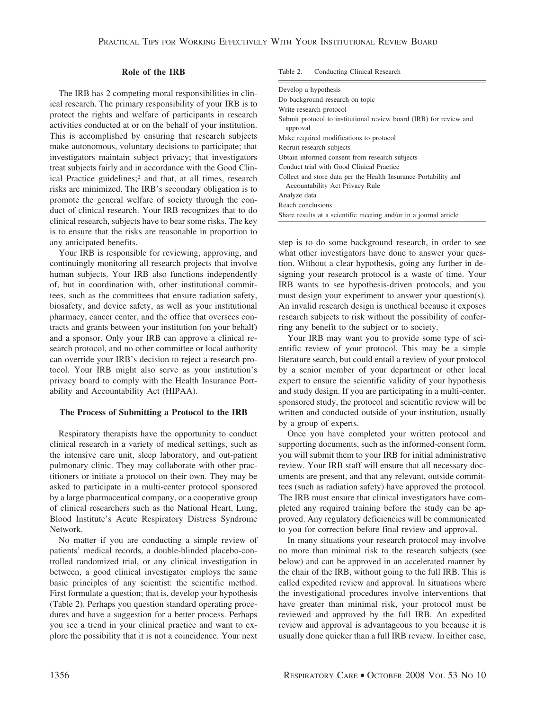# **Role of the IRB**

The IRB has 2 competing moral responsibilities in clinical research. The primary responsibility of your IRB is to protect the rights and welfare of participants in research activities conducted at or on the behalf of your institution. This is accomplished by ensuring that research subjects make autonomous, voluntary decisions to participate; that investigators maintain subject privacy; that investigators treat subjects fairly and in accordance with the Good Clinical Practice guidelines;<sup>2</sup> and that, at all times, research risks are minimized. The IRB's secondary obligation is to promote the general welfare of society through the conduct of clinical research. Your IRB recognizes that to do clinical research, subjects have to bear some risks. The key is to ensure that the risks are reasonable in proportion to any anticipated benefits.

Your IRB is responsible for reviewing, approving, and continuingly monitoring all research projects that involve human subjects. Your IRB also functions independently of, but in coordination with, other institutional committees, such as the committees that ensure radiation safety, biosafety, and device safety, as well as your institutional pharmacy, cancer center, and the office that oversees contracts and grants between your institution (on your behalf) and a sponsor. Only your IRB can approve a clinical research protocol, and no other committee or local authority can override your IRB's decision to reject a research protocol. Your IRB might also serve as your institution's privacy board to comply with the Health Insurance Portability and Accountability Act (HIPAA).

#### **The Process of Submitting a Protocol to the IRB**

Respiratory therapists have the opportunity to conduct clinical research in a variety of medical settings, such as the intensive care unit, sleep laboratory, and out-patient pulmonary clinic. They may collaborate with other practitioners or initiate a protocol on their own. They may be asked to participate in a multi-center protocol sponsored by a large pharmaceutical company, or a cooperative group of clinical researchers such as the National Heart, Lung, Blood Institute's Acute Respiratory Distress Syndrome Network.

No matter if you are conducting a simple review of patients' medical records, a double-blinded placebo-controlled randomized trial, or any clinical investigation in between, a good clinical investigator employs the same basic principles of any scientist: the scientific method. First formulate a question; that is, develop your hypothesis (Table 2). Perhaps you question standard operating procedures and have a suggestion for a better process. Perhaps you see a trend in your clinical practice and want to explore the possibility that it is not a coincidence. Your next Table 2. Conducting Clinical Research

| Develop a hypothesis                                                                               |  |  |  |
|----------------------------------------------------------------------------------------------------|--|--|--|
| Do background research on topic                                                                    |  |  |  |
| Write research protocol                                                                            |  |  |  |
| Submit protocol to institutional review board (IRB) for review and<br>approval                     |  |  |  |
| Make required modifications to protocol                                                            |  |  |  |
| Recruit research subjects                                                                          |  |  |  |
| Obtain informed consent from research subjects                                                     |  |  |  |
| Conduct trial with Good Clinical Practice                                                          |  |  |  |
| Collect and store data per the Health Insurance Portability and<br>Accountability Act Privacy Rule |  |  |  |
| Analyze data                                                                                       |  |  |  |
| Reach conclusions                                                                                  |  |  |  |
| Share results at a scientific meeting and/or in a journal article                                  |  |  |  |

step is to do some background research, in order to see what other investigators have done to answer your question. Without a clear hypothesis, going any further in designing your research protocol is a waste of time. Your IRB wants to see hypothesis-driven protocols, and you must design your experiment to answer your question(s). An invalid research design is unethical because it exposes research subjects to risk without the possibility of conferring any benefit to the subject or to society.

Your IRB may want you to provide some type of scientific review of your protocol. This may be a simple literature search, but could entail a review of your protocol by a senior member of your department or other local expert to ensure the scientific validity of your hypothesis and study design. If you are participating in a multi-center, sponsored study, the protocol and scientific review will be written and conducted outside of your institution, usually by a group of experts.

Once you have completed your written protocol and supporting documents, such as the informed-consent form, you will submit them to your IRB for initial administrative review. Your IRB staff will ensure that all necessary documents are present, and that any relevant, outside committees (such as radiation safety) have approved the protocol. The IRB must ensure that clinical investigators have completed any required training before the study can be approved. Any regulatory deficiencies will be communicated to you for correction before final review and approval.

In many situations your research protocol may involve no more than minimal risk to the research subjects (see below) and can be approved in an accelerated manner by the chair of the IRB, without going to the full IRB. This is called expedited review and approval. In situations where the investigational procedures involve interventions that have greater than minimal risk, your protocol must be reviewed and approved by the full IRB. An expedited review and approval is advantageous to you because it is usually done quicker than a full IRB review. In either case,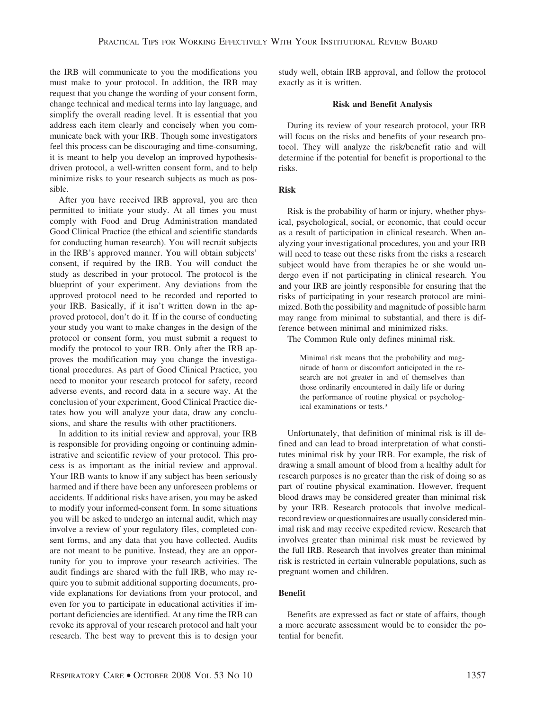the IRB will communicate to you the modifications you must make to your protocol. In addition, the IRB may request that you change the wording of your consent form, change technical and medical terms into lay language, and simplify the overall reading level. It is essential that you address each item clearly and concisely when you communicate back with your IRB. Though some investigators feel this process can be discouraging and time-consuming, it is meant to help you develop an improved hypothesisdriven protocol, a well-written consent form, and to help minimize risks to your research subjects as much as possible.

After you have received IRB approval, you are then permitted to initiate your study. At all times you must comply with Food and Drug Administration mandated Good Clinical Practice (the ethical and scientific standards for conducting human research). You will recruit subjects in the IRB's approved manner. You will obtain subjects' consent, if required by the IRB. You will conduct the study as described in your protocol. The protocol is the blueprint of your experiment. Any deviations from the approved protocol need to be recorded and reported to your IRB. Basically, if it isn't written down in the approved protocol, don't do it. If in the course of conducting your study you want to make changes in the design of the protocol or consent form, you must submit a request to modify the protocol to your IRB. Only after the IRB approves the modification may you change the investigational procedures. As part of Good Clinical Practice, you need to monitor your research protocol for safety, record adverse events, and record data in a secure way. At the conclusion of your experiment, Good Clinical Practice dictates how you will analyze your data, draw any conclusions, and share the results with other practitioners.

In addition to its initial review and approval, your IRB is responsible for providing ongoing or continuing administrative and scientific review of your protocol. This process is as important as the initial review and approval. Your IRB wants to know if any subject has been seriously harmed and if there have been any unforeseen problems or accidents. If additional risks have arisen, you may be asked to modify your informed-consent form. In some situations you will be asked to undergo an internal audit, which may involve a review of your regulatory files, completed consent forms, and any data that you have collected. Audits are not meant to be punitive. Instead, they are an opportunity for you to improve your research activities. The audit findings are shared with the full IRB, who may require you to submit additional supporting documents, provide explanations for deviations from your protocol, and even for you to participate in educational activities if important deficiencies are identified. At any time the IRB can revoke its approval of your research protocol and halt your research. The best way to prevent this is to design your study well, obtain IRB approval, and follow the protocol exactly as it is written.

### **Risk and Benefit Analysis**

During its review of your research protocol, your IRB will focus on the risks and benefits of your research protocol. They will analyze the risk/benefit ratio and will determine if the potential for benefit is proportional to the risks.

## **Risk**

Risk is the probability of harm or injury, whether physical, psychological, social, or economic, that could occur as a result of participation in clinical research. When analyzing your investigational procedures, you and your IRB will need to tease out these risks from the risks a research subject would have from therapies he or she would undergo even if not participating in clinical research. You and your IRB are jointly responsible for ensuring that the risks of participating in your research protocol are minimized. Both the possibility and magnitude of possible harm may range from minimal to substantial, and there is difference between minimal and minimized risks.

The Common Rule only defines minimal risk.

Minimal risk means that the probability and magnitude of harm or discomfort anticipated in the research are not greater in and of themselves than those ordinarily encountered in daily life or during the performance of routine physical or psychological examinations or tests.3

Unfortunately, that definition of minimal risk is ill defined and can lead to broad interpretation of what constitutes minimal risk by your IRB. For example, the risk of drawing a small amount of blood from a healthy adult for research purposes is no greater than the risk of doing so as part of routine physical examination. However, frequent blood draws may be considered greater than minimal risk by your IRB. Research protocols that involve medicalrecord review or questionnaires are usually considered minimal risk and may receive expedited review. Research that involves greater than minimal risk must be reviewed by the full IRB. Research that involves greater than minimal risk is restricted in certain vulnerable populations, such as pregnant women and children.

# **Benefit**

Benefits are expressed as fact or state of affairs, though a more accurate assessment would be to consider the potential for benefit.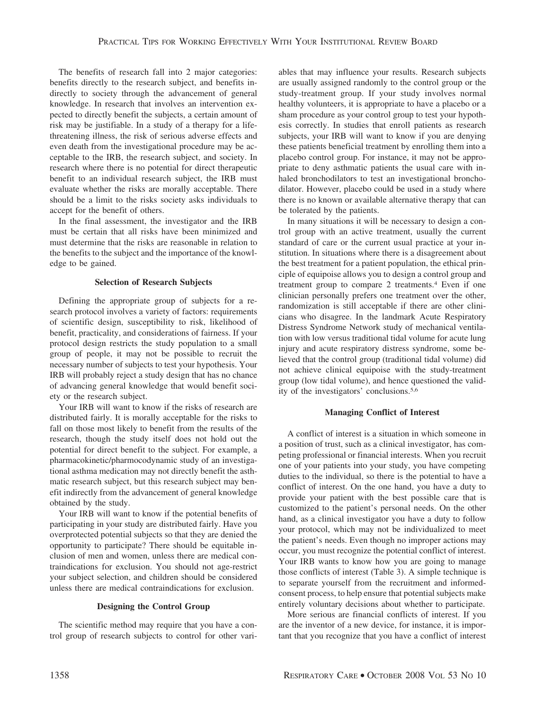The benefits of research fall into 2 major categories: benefits directly to the research subject, and benefits indirectly to society through the advancement of general knowledge. In research that involves an intervention expected to directly benefit the subjects, a certain amount of risk may be justifiable. In a study of a therapy for a lifethreatening illness, the risk of serious adverse effects and even death from the investigational procedure may be acceptable to the IRB, the research subject, and society. In research where there is no potential for direct therapeutic benefit to an individual research subject, the IRB must evaluate whether the risks are morally acceptable. There should be a limit to the risks society asks individuals to accept for the benefit of others.

In the final assessment, the investigator and the IRB must be certain that all risks have been minimized and must determine that the risks are reasonable in relation to the benefits to the subject and the importance of the knowledge to be gained.

## **Selection of Research Subjects**

Defining the appropriate group of subjects for a research protocol involves a variety of factors: requirements of scientific design, susceptibility to risk, likelihood of benefit, practicality, and considerations of fairness. If your protocol design restricts the study population to a small group of people, it may not be possible to recruit the necessary number of subjects to test your hypothesis. Your IRB will probably reject a study design that has no chance of advancing general knowledge that would benefit society or the research subject.

Your IRB will want to know if the risks of research are distributed fairly. It is morally acceptable for the risks to fall on those most likely to benefit from the results of the research, though the study itself does not hold out the potential for direct benefit to the subject. For example, a pharmacokinetic/pharmocodynamic study of an investigational asthma medication may not directly benefit the asthmatic research subject, but this research subject may benefit indirectly from the advancement of general knowledge obtained by the study.

Your IRB will want to know if the potential benefits of participating in your study are distributed fairly. Have you overprotected potential subjects so that they are denied the opportunity to participate? There should be equitable inclusion of men and women, unless there are medical contraindications for exclusion. You should not age-restrict your subject selection, and children should be considered unless there are medical contraindications for exclusion.

#### **Designing the Control Group**

The scientific method may require that you have a control group of research subjects to control for other variables that may influence your results. Research subjects are usually assigned randomly to the control group or the study-treatment group. If your study involves normal healthy volunteers, it is appropriate to have a placebo or a sham procedure as your control group to test your hypothesis correctly. In studies that enroll patients as research subjects, your IRB will want to know if you are denying these patients beneficial treatment by enrolling them into a placebo control group. For instance, it may not be appropriate to deny asthmatic patients the usual care with inhaled bronchodilators to test an investigational bronchodilator. However, placebo could be used in a study where there is no known or available alternative therapy that can be tolerated by the patients.

In many situations it will be necessary to design a control group with an active treatment, usually the current standard of care or the current usual practice at your institution. In situations where there is a disagreement about the best treatment for a patient population, the ethical principle of equipoise allows you to design a control group and treatment group to compare 2 treatments.4 Even if one clinician personally prefers one treatment over the other, randomization is still acceptable if there are other clinicians who disagree. In the landmark Acute Respiratory Distress Syndrome Network study of mechanical ventilation with low versus traditional tidal volume for acute lung injury and acute respiratory distress syndrome, some believed that the control group (traditional tidal volume) did not achieve clinical equipoise with the study-treatment group (low tidal volume), and hence questioned the validity of the investigators' conclusions.5,6

## **Managing Conflict of Interest**

A conflict of interest is a situation in which someone in a position of trust, such as a clinical investigator, has competing professional or financial interests. When you recruit one of your patients into your study, you have competing duties to the individual, so there is the potential to have a conflict of interest. On the one hand, you have a duty to provide your patient with the best possible care that is customized to the patient's personal needs. On the other hand, as a clinical investigator you have a duty to follow your protocol, which may not be individualized to meet the patient's needs. Even though no improper actions may occur, you must recognize the potential conflict of interest. Your IRB wants to know how you are going to manage those conflicts of interest (Table 3). A simple technique is to separate yourself from the recruitment and informedconsent process, to help ensure that potential subjects make entirely voluntary decisions about whether to participate.

More serious are financial conflicts of interest. If you are the inventor of a new device, for instance, it is important that you recognize that you have a conflict of interest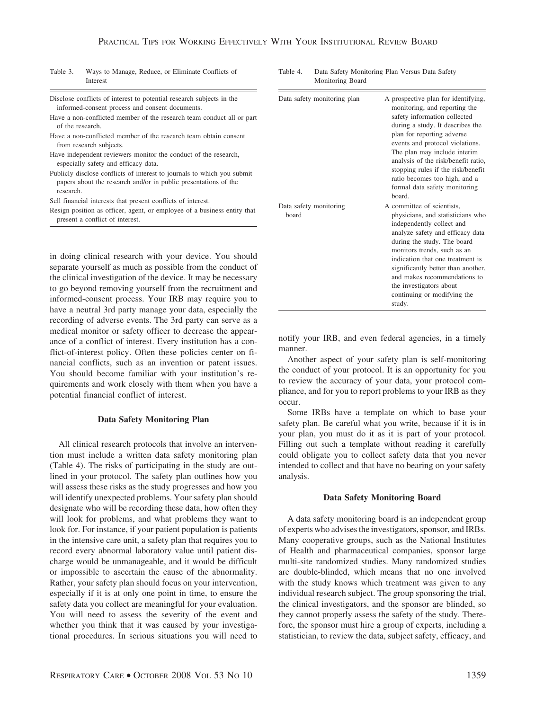| Table 3. | Ways to Manage, Reduce, or Eliminate Conflicts of |  |  |  |
|----------|---------------------------------------------------|--|--|--|
|          | Interest                                          |  |  |  |

Disclose conflicts of interest to potential research subjects in the informed-consent process and consent documents.

- Have a non-conflicted member of the research team conduct all or part of the research.
- Have a non-conflicted member of the research team obtain consent from research subjects.
- Have independent reviewers monitor the conduct of the research, especially safety and efficacy data.
- Publicly disclose conflicts of interest to journals to which you submit papers about the research and/or in public presentations of the research.
- Sell financial interests that present conflicts of interest.
- Resign position as officer, agent, or employee of a business entity that present a conflict of interest.

in doing clinical research with your device. You should separate yourself as much as possible from the conduct of the clinical investigation of the device. It may be necessary to go beyond removing yourself from the recruitment and informed-consent process. Your IRB may require you to have a neutral 3rd party manage your data, especially the recording of adverse events. The 3rd party can serve as a medical monitor or safety officer to decrease the appearance of a conflict of interest. Every institution has a conflict-of-interest policy. Often these policies center on financial conflicts, such as an invention or patent issues. You should become familiar with your institution's requirements and work closely with them when you have a potential financial conflict of interest.

#### **Data Safety Monitoring Plan**

All clinical research protocols that involve an intervention must include a written data safety monitoring plan (Table 4). The risks of participating in the study are outlined in your protocol. The safety plan outlines how you will assess these risks as the study progresses and how you will identify unexpected problems. Your safety plan should designate who will be recording these data, how often they will look for problems, and what problems they want to look for. For instance, if your patient population is patients in the intensive care unit, a safety plan that requires you to record every abnormal laboratory value until patient discharge would be unmanageable, and it would be difficult or impossible to ascertain the cause of the abnormality. Rather, your safety plan should focus on your intervention, especially if it is at only one point in time, to ensure the safety data you collect are meaningful for your evaluation. You will need to assess the severity of the event and whether you think that it was caused by your investigational procedures. In serious situations you will need to

| Table 4. | Data Safety Monitoring Plan Versus Data Safety |  |
|----------|------------------------------------------------|--|
|          | Monitoring Board                               |  |

| Data safety monitoring plan     | A prospective plan for identifying,<br>monitoring, and reporting the<br>safety information collected<br>during a study. It describes the<br>plan for reporting adverse<br>events and protocol violations.<br>The plan may include interim<br>analysis of the risk/benefit ratio,<br>stopping rules if the risk/benefit<br>ratio becomes too high, and a<br>formal data safety monitoring<br>board. |
|---------------------------------|----------------------------------------------------------------------------------------------------------------------------------------------------------------------------------------------------------------------------------------------------------------------------------------------------------------------------------------------------------------------------------------------------|
| Data safety monitoring<br>board | A committee of scientists,<br>physicians, and statisticians who<br>independently collect and<br>analyze safety and efficacy data<br>during the study. The board<br>monitors trends, such as an<br>indication that one treatment is<br>significantly better than another,<br>and makes recommendations to<br>the investigators about<br>continuing or modifying the<br>study.                       |

notify your IRB, and even federal agencies, in a timely manner.

Another aspect of your safety plan is self-monitoring the conduct of your protocol. It is an opportunity for you to review the accuracy of your data, your protocol compliance, and for you to report problems to your IRB as they occur.

Some IRBs have a template on which to base your safety plan. Be careful what you write, because if it is in your plan, you must do it as it is part of your protocol. Filling out such a template without reading it carefully could obligate you to collect safety data that you never intended to collect and that have no bearing on your safety analysis.

#### **Data Safety Monitoring Board**

A data safety monitoring board is an independent group of experts who advises the investigators, sponsor, and IRBs. Many cooperative groups, such as the National Institutes of Health and pharmaceutical companies, sponsor large multi-site randomized studies. Many randomized studies are double-blinded, which means that no one involved with the study knows which treatment was given to any individual research subject. The group sponsoring the trial, the clinical investigators, and the sponsor are blinded, so they cannot properly assess the safety of the study. Therefore, the sponsor must hire a group of experts, including a statistician, to review the data, subject safety, efficacy, and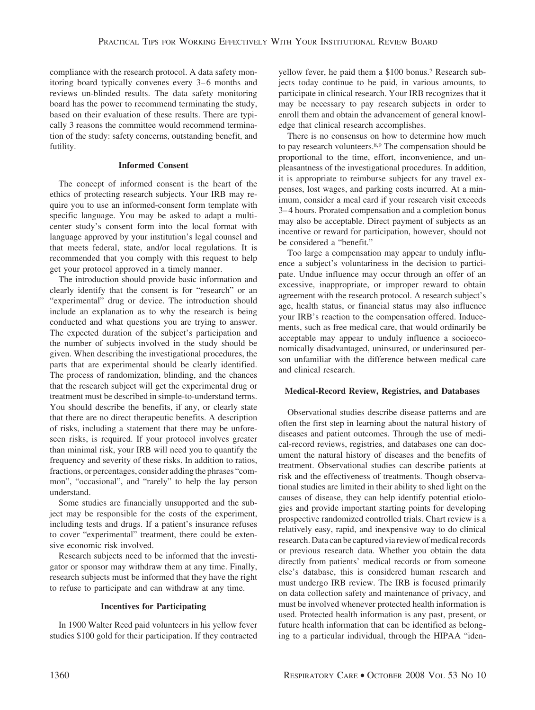compliance with the research protocol. A data safety monitoring board typically convenes every 3–6 months and reviews un-blinded results. The data safety monitoring board has the power to recommend terminating the study, based on their evaluation of these results. There are typically 3 reasons the committee would recommend termination of the study: safety concerns, outstanding benefit, and futility.

# **Informed Consent**

The concept of informed consent is the heart of the ethics of protecting research subjects. Your IRB may require you to use an informed-consent form template with specific language. You may be asked to adapt a multicenter study's consent form into the local format with language approved by your institution's legal counsel and that meets federal, state, and/or local regulations. It is recommended that you comply with this request to help get your protocol approved in a timely manner.

The introduction should provide basic information and clearly identify that the consent is for "research" or an "experimental" drug or device. The introduction should include an explanation as to why the research is being conducted and what questions you are trying to answer. The expected duration of the subject's participation and the number of subjects involved in the study should be given. When describing the investigational procedures, the parts that are experimental should be clearly identified. The process of randomization, blinding, and the chances that the research subject will get the experimental drug or treatment must be described in simple-to-understand terms. You should describe the benefits, if any, or clearly state that there are no direct therapeutic benefits. A description of risks, including a statement that there may be unforeseen risks, is required. If your protocol involves greater than minimal risk, your IRB will need you to quantify the frequency and severity of these risks. In addition to ratios, fractions, or percentages, consider adding the phrases "common", "occasional", and "rarely" to help the lay person understand.

Some studies are financially unsupported and the subject may be responsible for the costs of the experiment, including tests and drugs. If a patient's insurance refuses to cover "experimental" treatment, there could be extensive economic risk involved.

Research subjects need to be informed that the investigator or sponsor may withdraw them at any time. Finally, research subjects must be informed that they have the right to refuse to participate and can withdraw at any time.

# **Incentives for Participating**

In 1900 Walter Reed paid volunteers in his yellow fever studies \$100 gold for their participation. If they contracted yellow fever, he paid them a \$100 bonus.7 Research subjects today continue to be paid, in various amounts, to participate in clinical research. Your IRB recognizes that it may be necessary to pay research subjects in order to enroll them and obtain the advancement of general knowledge that clinical research accomplishes.

There is no consensus on how to determine how much to pay research volunteers.8,9 The compensation should be proportional to the time, effort, inconvenience, and unpleasantness of the investigational procedures. In addition, it is appropriate to reimburse subjects for any travel expenses, lost wages, and parking costs incurred. At a minimum, consider a meal card if your research visit exceeds 3– 4 hours. Prorated compensation and a completion bonus may also be acceptable. Direct payment of subjects as an incentive or reward for participation, however, should not be considered a "benefit."

Too large a compensation may appear to unduly influence a subject's voluntariness in the decision to participate. Undue influence may occur through an offer of an excessive, inappropriate, or improper reward to obtain agreement with the research protocol. A research subject's age, health status, or financial status may also influence your IRB's reaction to the compensation offered. Inducements, such as free medical care, that would ordinarily be acceptable may appear to unduly influence a socioeconomically disadvantaged, uninsured, or underinsured person unfamiliar with the difference between medical care and clinical research.

# **Medical-Record Review, Registries, and Databases**

Observational studies describe disease patterns and are often the first step in learning about the natural history of diseases and patient outcomes. Through the use of medical-record reviews, registries, and databases one can document the natural history of diseases and the benefits of treatment. Observational studies can describe patients at risk and the effectiveness of treatments. Though observational studies are limited in their ability to shed light on the causes of disease, they can help identify potential etiologies and provide important starting points for developing prospective randomized controlled trials. Chart review is a relatively easy, rapid, and inexpensive way to do clinical research. Data can be captured via review of medical records or previous research data. Whether you obtain the data directly from patients' medical records or from someone else's database, this is considered human research and must undergo IRB review. The IRB is focused primarily on data collection safety and maintenance of privacy, and must be involved whenever protected health information is used. Protected health information is any past, present, or future health information that can be identified as belonging to a particular individual, through the HIPAA "iden